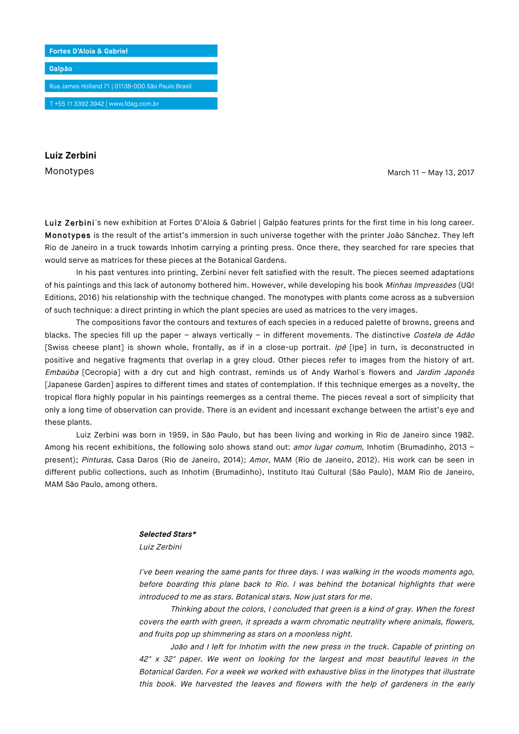

**Luiz Zerbini**

Monotypes March 11 – May 13, 2017

Luiz Zerbini´s new exhibition at Fortes D'Aloia & Gabriel | Galpão features prints for the first time in his long career. Monotypes is the result of the artist's immersion in such universe together with the printer João Sánchez. They left Rio de Janeiro in a truck towards Inhotim carrying a printing press. Once there, they searched for rare species that would serve as matrices for these pieces at the Botanical Gardens.

In his past ventures into printing, Zerbini never felt satisfied with the result. The pieces seemed adaptations of his paintings and this lack of autonomy bothered him. However, while developing his book Minhas Impressões (UQ! Editions, 2016) his relationship with the technique changed. The monotypes with plants come across as a subversion of such technique: a direct printing in which the plant species are used as matrices to the very images.

The compositions favor the contours and textures of each species in a reduced palette of browns, greens and blacks. The species fill up the paper – always vertically – in different movements. The distinctive Costela de Adão [Swiss cheese plant] is shown whole, frontally, as if in a close-up portrait. Ipé [Ipe] in turn, is deconstructed in positive and negative fragments that overlap in a grey cloud. Other pieces refer to images from the history of art. Embaúba [Cecropia] with a dry cut and high contrast, reminds us of Andy Warhol's flowers and Jardim Japonês [Japanese Garden] aspires to different times and states of contemplation. If this technique emerges as a novelty, the tropical flora highly popular in his paintings reemerges as a central theme. The pieces reveal a sort of simplicity that only a long time of observation can provide. There is an evident and incessant exchange between the artist's eye and these plants.

Luiz Zerbini was born in 1959, in São Paulo, but has been living and working in Rio de Janeiro since 1982. Among his recent exhibitions, the following solo shows stand out: amor lugar comum, Inhotim (Brumadinho, 2013 present); Pinturas, Casa Daros (Rio de Janeiro, 2014); Amor, MAM (Rio de Janeiro, 2012). His work can be seen in different public collections, such as Inhotim (Brumadinho), Instituto Itaú Cultural (São Paulo), MAM Rio de Janeiro, MAM São Paulo, among others.

## **Selected Stars\***

Luiz Zerbini

I've been wearing the same pants for three days. I was walking in the woods moments ago, before boarding this plane back to Rio. I was behind the botanical highlights that were introduced to me as stars. Botanical stars. Now just stars for me.

Thinking about the colors, I concluded that green is a kind of gray. When the forest covers the earth with green, it spreads a warm chromatic neutrality where animals, flowers, and fruits pop up shimmering as stars on a moonless night.

João and I left for Inhotim with the new press in the truck. Capable of printing on 42" x 32" paper. We went on looking for the largest and most beautiful leaves in the Botanical Garden. For a week we worked with exhaustive bliss in the linotypes that illustrate this book. We harvested the leaves and flowers with the help of gardeners in the early